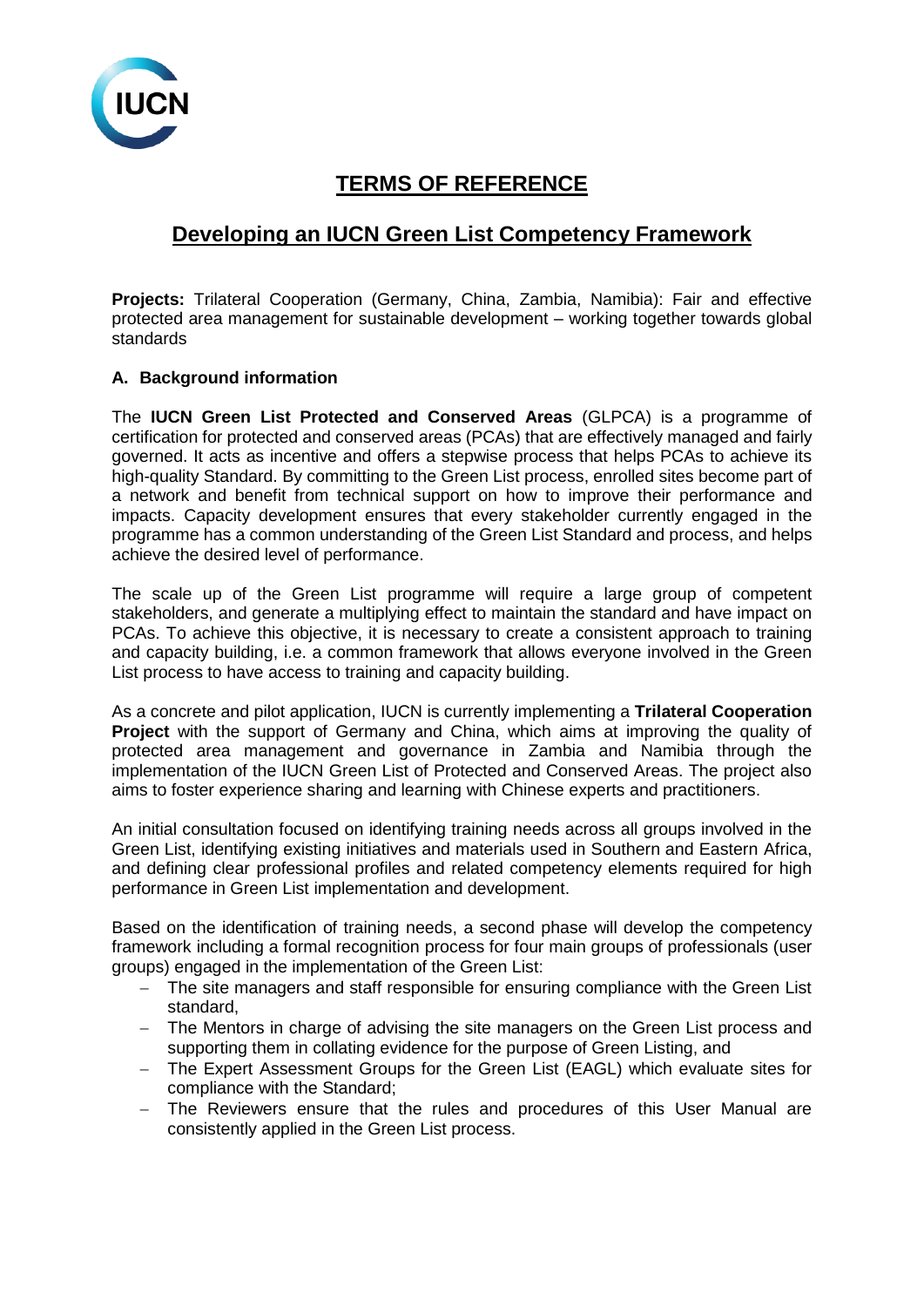

# **TERMS OF REFERENCE**

# **Developing an IUCN Green List Competency Framework**

Projects: Trilateral Cooperation (Germany, China, Zambia, Namibia): Fair and effective protected area management for sustainable development – working together towards global standards

# **A. Background information**

The **IUCN Green List Protected and Conserved Areas** (GLPCA) is a programme of certification for protected and conserved areas (PCAs) that are effectively managed and fairly governed. It acts as incentive and offers a stepwise process that helps PCAs to achieve its high-quality Standard. By committing to the Green List process, enrolled sites become part of a network and benefit from technical support on how to improve their performance and impacts. Capacity development ensures that every stakeholder currently engaged in the programme has a common understanding of the Green List Standard and process, and helps achieve the desired level of performance.

The scale up of the Green List programme will require a large group of competent stakeholders, and generate a multiplying effect to maintain the standard and have impact on PCAs. To achieve this objective, it is necessary to create a consistent approach to training and capacity building, i.e. a common framework that allows everyone involved in the Green List process to have access to training and capacity building.

As a concrete and pilot application, IUCN is currently implementing a **Trilateral Cooperation Project** with the support of Germany and China, which aims at improving the quality of protected area management and governance in Zambia and Namibia through the implementation of the IUCN Green List of Protected and Conserved Areas. The project also aims to foster experience sharing and learning with Chinese experts and practitioners.

An initial consultation focused on identifying training needs across all groups involved in the Green List, identifying existing initiatives and materials used in Southern and Eastern Africa, and defining clear professional profiles and related competency elements required for high performance in Green List implementation and development.

Based on the identification of training needs, a second phase will develop the competency framework including a formal recognition process for four main groups of professionals (user groups) engaged in the implementation of the Green List:

- − The site managers and staff responsible for ensuring compliance with the Green List standard,
- − The Mentors in charge of advising the site managers on the Green List process and supporting them in collating evidence for the purpose of Green Listing, and
- − The Expert Assessment Groups for the Green List (EAGL) which evaluate sites for compliance with the Standard;
- − The Reviewers ensure that the rules and procedures of this User Manual are consistently applied in the Green List process.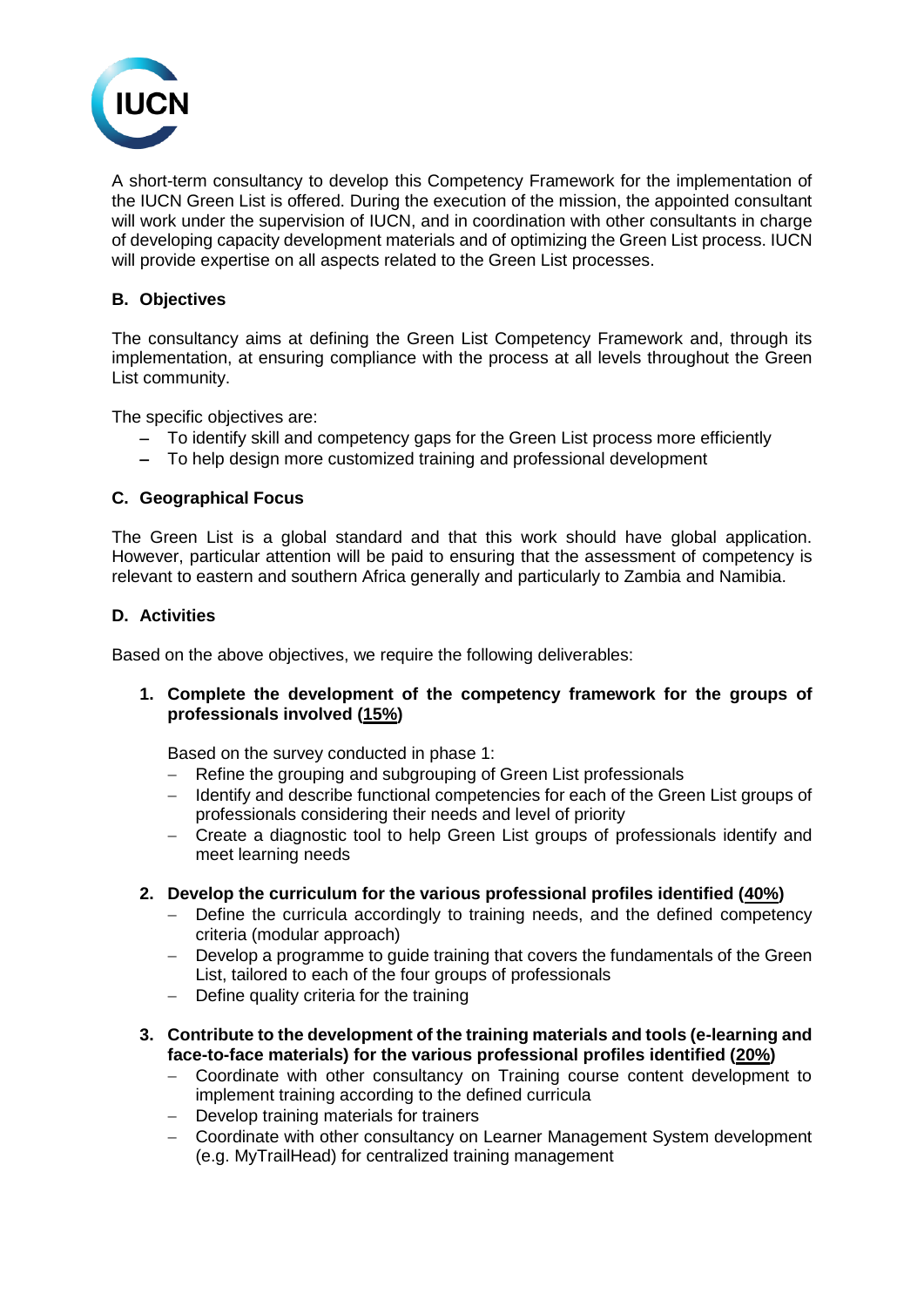

A short-term consultancy to develop this Competency Framework for the implementation of the IUCN Green List is offered. During the execution of the mission, the appointed consultant will work under the supervision of IUCN, and in coordination with other consultants in charge of developing capacity development materials and of optimizing the Green List process. IUCN will provide expertise on all aspects related to the Green List processes.

# **B. Objectives**

The consultancy aims at defining the Green List Competency Framework and, through its implementation, at ensuring compliance with the process at all levels throughout the Green List community.

The specific objectives are:

- − To identify skill and competency gaps for the Green List process more efficiently
- − To help design more customized training and professional development

### **C. Geographical Focus**

The Green List is a global standard and that this work should have global application. However, particular attention will be paid to ensuring that the assessment of competency is relevant to eastern and southern Africa generally and particularly to Zambia and Namibia.

### **D. Activities**

Based on the above objectives, we require the following deliverables:

**1. Complete the development of the competency framework for the groups of professionals involved (15%)**

Based on the survey conducted in phase 1:

- − Refine the grouping and subgrouping of Green List professionals
- − Identify and describe functional competencies for each of the Green List groups of professionals considering their needs and level of priority
- − Create a diagnostic tool to help Green List groups of professionals identify and meet learning needs

#### **2. Develop the curriculum for the various professional profiles identified (40%)**

- − Define the curricula accordingly to training needs, and the defined competency criteria (modular approach)
- − Develop a programme to guide training that covers the fundamentals of the Green List, tailored to each of the four groups of professionals
- − Define quality criteria for the training
- **3. Contribute to the development of the training materials and tools (e-learning and face-to-face materials) for the various professional profiles identified (20%)**
	- − Coordinate with other consultancy on Training course content development to implement training according to the defined curricula
	- − Develop training materials for trainers
	- − Coordinate with other consultancy on Learner Management System development (e.g. MyTrailHead) for centralized training management